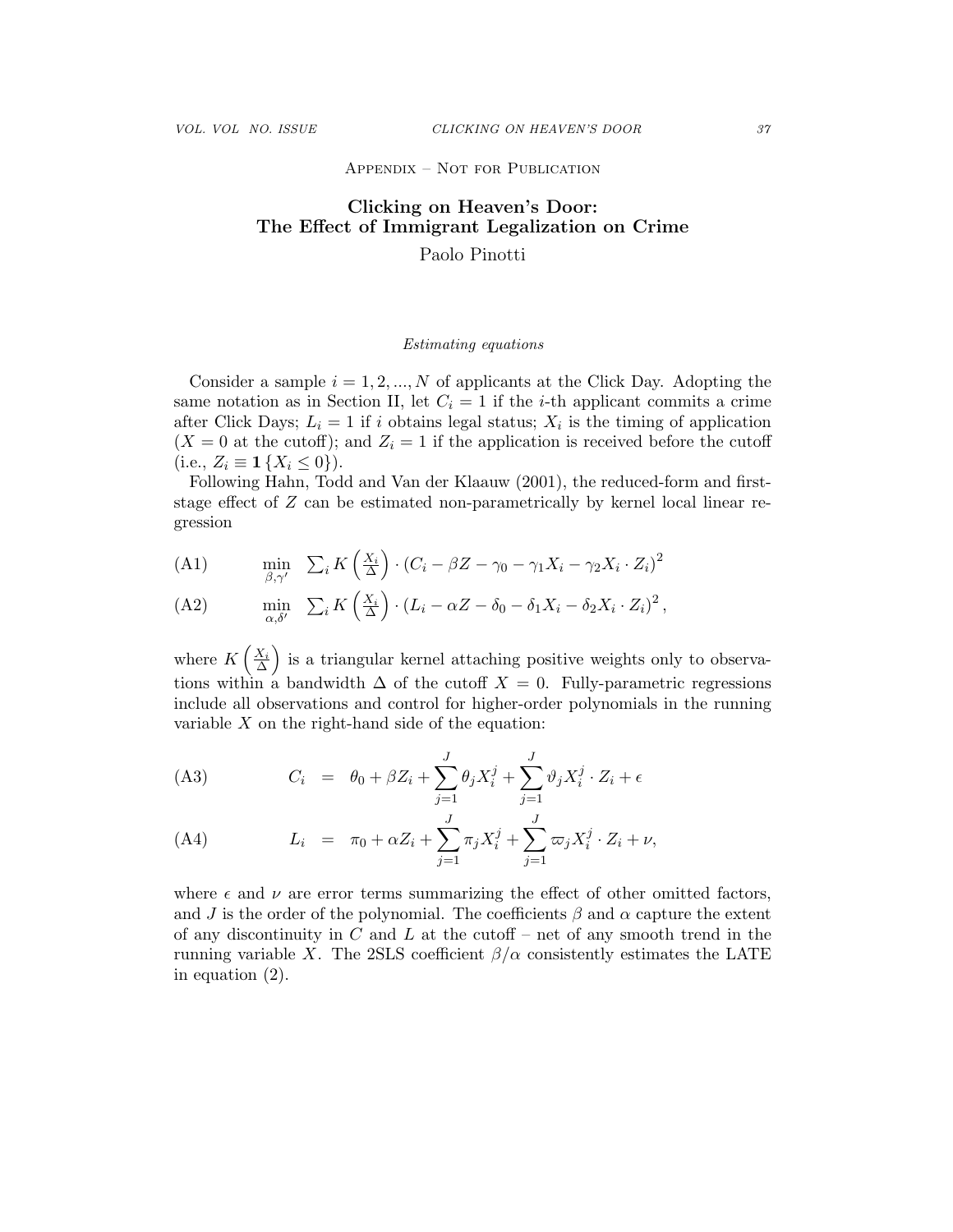## Appendix – Not for Publication

## Clicking on Heaven's Door: The Effect of Immigrant Legalization on Crime Paolo Pinotti

## Estimating equations

Consider a sample  $i = 1, 2, ..., N$  of applicants at the Click Day. Adopting the same notation as in Section II, let  $C_i = 1$  if the *i*-th applicant commits a crime after Click Days;  $L_i = 1$  if i obtains legal status;  $X_i$  is the timing of application  $(X = 0$  at the cutoff); and  $Z_i = 1$  if the application is received before the cutoff (i.e.,  $Z_i \equiv \mathbf{1} \{ X_i \leq 0 \}$ ).

Following Hahn, Todd and Van der Klaauw (2001), the reduced-form and firststage effect of Z can be estimated non-parametrically by kernel local linear regression

(A1) 
$$
\min_{\beta,\gamma'} \sum_{i} K\left(\frac{X_i}{\Delta}\right) \cdot (C_i - \beta Z - \gamma_0 - \gamma_1 X_i - \gamma_2 X_i \cdot Z_i)^2
$$

(A2) 
$$
\min_{\alpha,\delta'} \sum_i K\left(\frac{X_i}{\Delta}\right) \cdot (L_i - \alpha Z - \delta_0 - \delta_1 X_i - \delta_2 X_i \cdot Z_i)^2,
$$

where  $K\left(\frac{X_i}{\Delta}\right)$  is a triangular kernel attaching positive weights only to observations within a bandwidth  $\Delta$  of the cutoff  $X = 0$ . Fully-parametric regressions include all observations and control for higher-order polynomials in the running variable  $X$  on the right-hand side of the equation:

(A3) 
$$
C_i = \theta_0 + \beta Z_i + \sum_{j=1}^J \theta_j X_i^j + \sum_{j=1}^J \vartheta_j X_i^j \cdot Z_i + \epsilon
$$

(A4) 
$$
L_i = \pi_0 + \alpha Z_i + \sum_{j=1}^J \pi_j X_i^j + \sum_{j=1}^J \varpi_j X_i^j \cdot Z_i + \nu,
$$

where  $\epsilon$  and  $\nu$  are error terms summarizing the effect of other omitted factors, and J is the order of the polynomial. The coefficients  $\beta$  and  $\alpha$  capture the extent of any discontinuity in  $C$  and  $L$  at the cutoff – net of any smooth trend in the running variable X. The 2SLS coefficient  $\beta/\alpha$  consistently estimates the LATE in equation (2).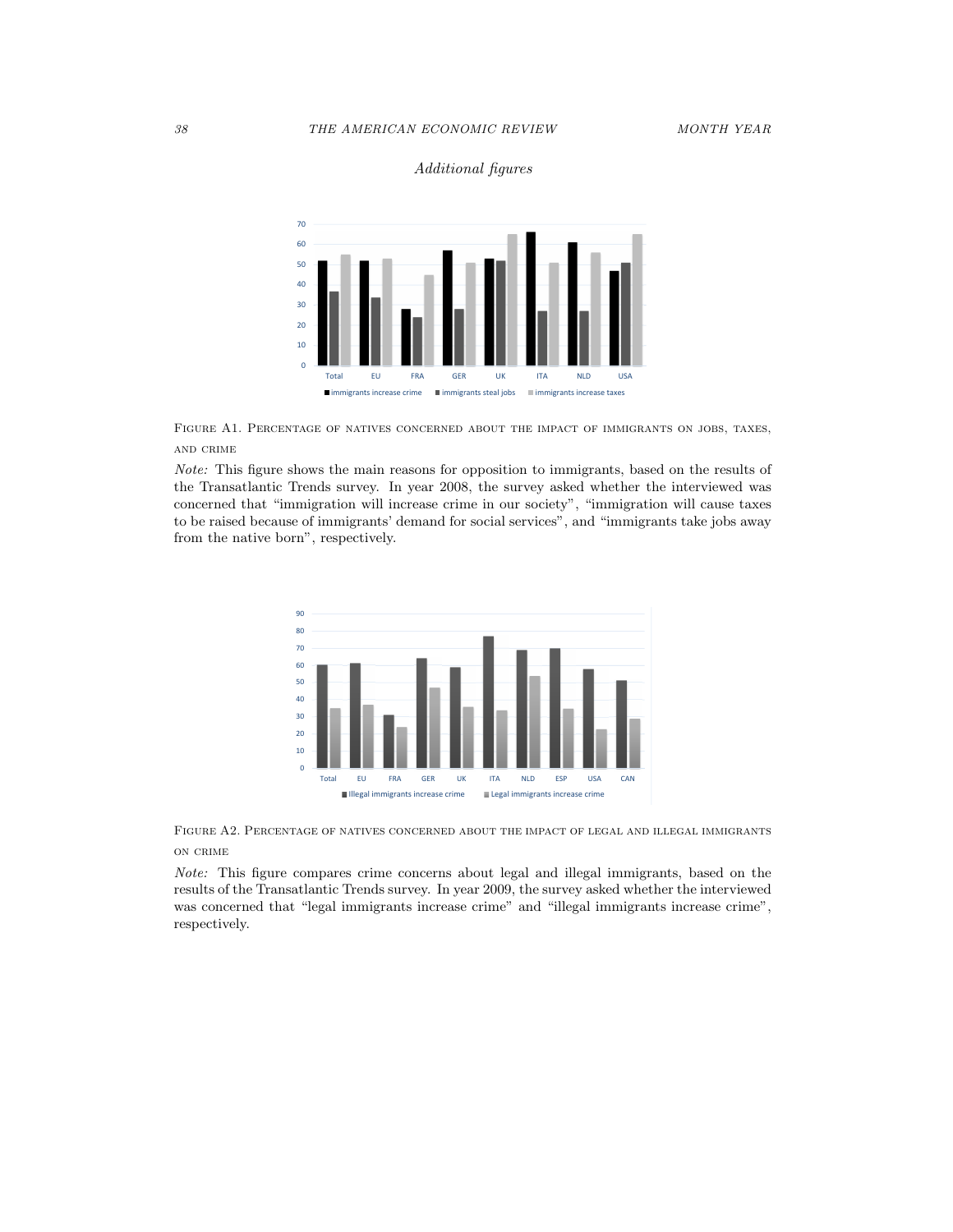



Figure A1. Percentage of natives concerned about the impact of immigrants on jobs, taxes, and crime

Note: This figure shows the main reasons for opposition to immigrants, based on the results of the Transatlantic Trends survey. In year 2008, the survey asked whether the interviewed was concerned that "immigration will increase crime in our society", "immigration will cause taxes to be raised because of immigrants' demand for social services", and "immigrants take jobs away from the native born", respectively.



Figure A2. Percentage of natives concerned about the impact of legal and illegal immigrants on crime

Note: This figure compares crime concerns about legal and illegal immigrants, based on the results of the Transatlantic Trends survey. In year 2009, the survey asked whether the interviewed was concerned that "legal immigrants increase crime" and "illegal immigrants increase crime", respectively.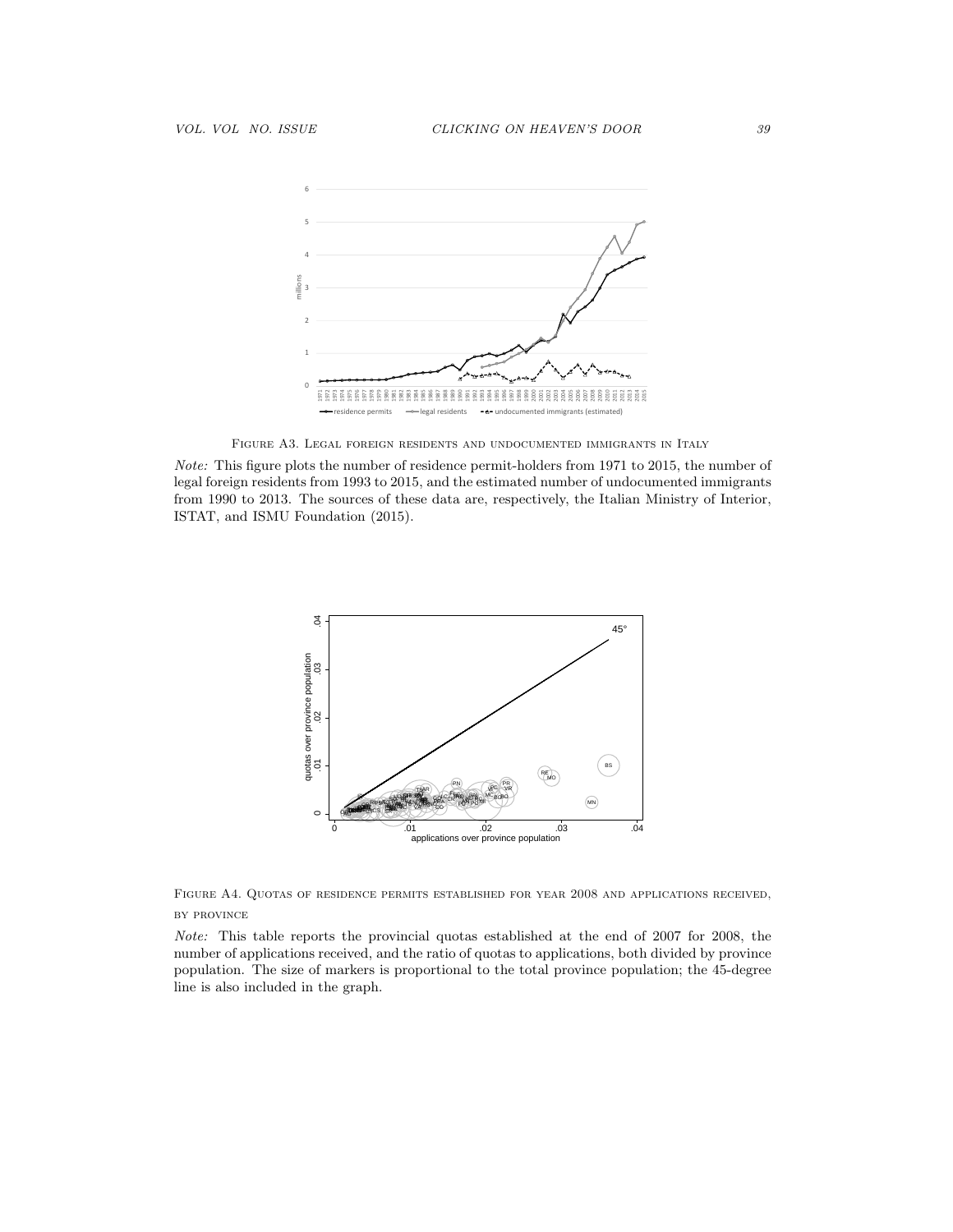

Figure A3. Legal foreign residents and undocumented immigrants in Italy

Note: This figure plots the number of residence permit-holders from 1971 to 2015, the number of legal foreign residents from 1993 to 2015, and the estimated number of undocumented immigrants from 1990 to 2013. The sources of these data are, respectively, the Italian Ministry of Interior, ISTAT, and ISMU Foundation (2015).



Figure A4. Quotas of residence permits established for year 2008 and applications received, by province

Note: This table reports the provincial quotas established at the end of 2007 for 2008, the number of applications received, and the ratio of quotas to applications, both divided by province population. The size of markers is proportional to the total province population; the 45-degree line is also included in the graph.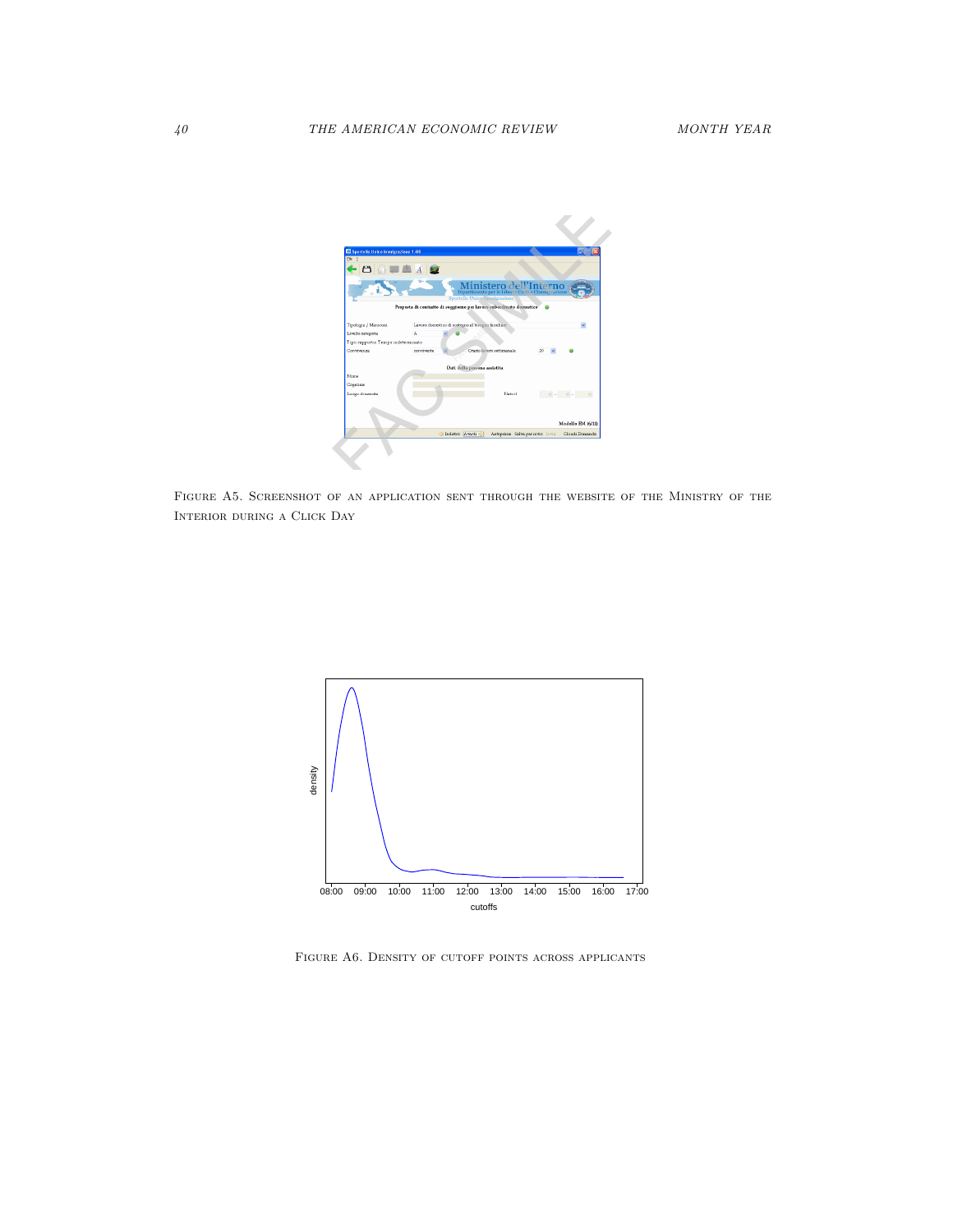

Figure A5. Screenshot of an application sent through the website of the Ministry of the Interior during a Click Day



FIGURE A6. DENSITY OF CUTOFF POINTS ACROSS APPLICANTS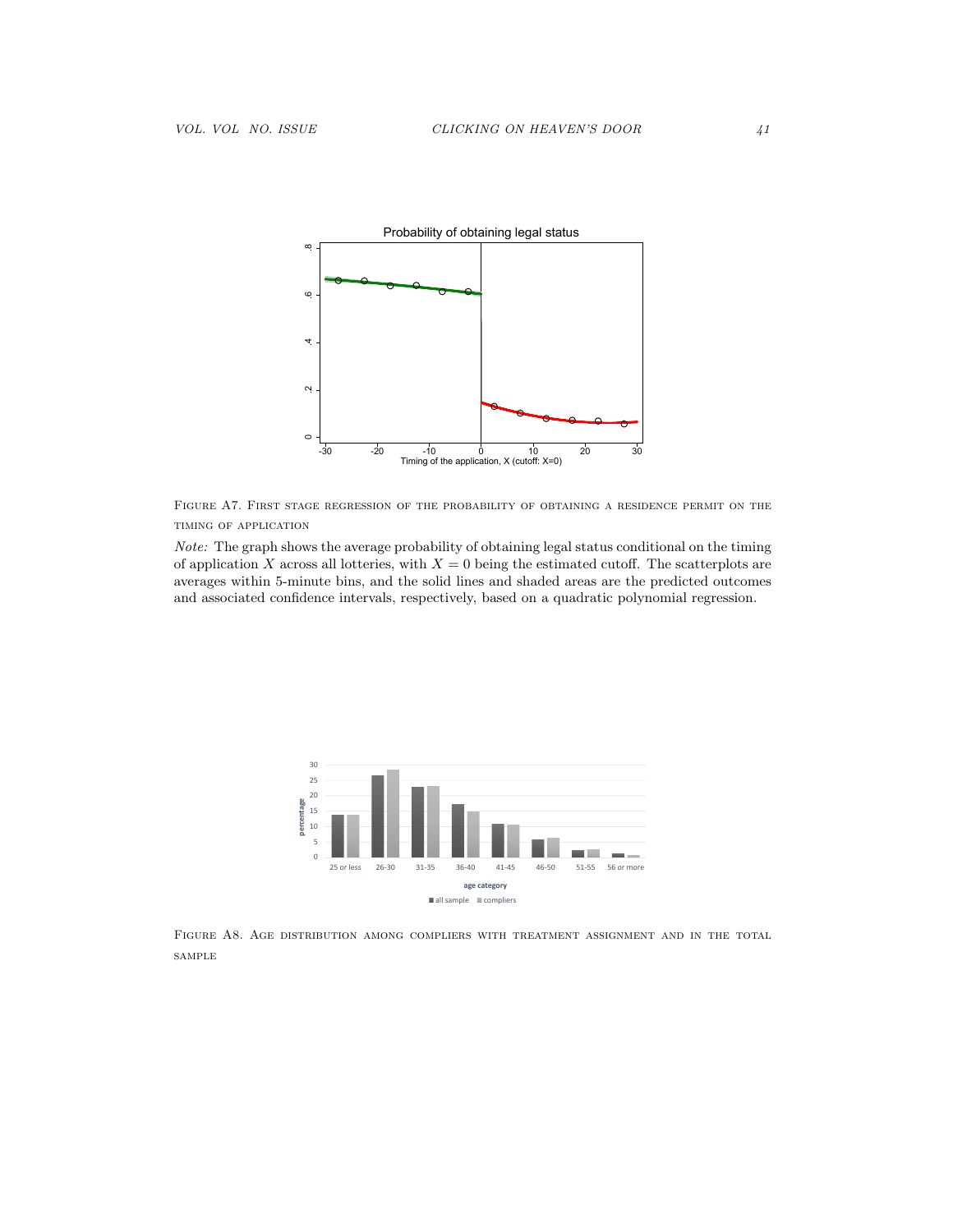

Figure A7. First stage regression of the probability of obtaining a residence permit on the timing of application

Note: The graph shows the average probability of obtaining legal status conditional on the timing of application X across all lotteries, with  $X = 0$  being the estimated cutoff. The scatterplots are averages within 5-minute bins, and the solid lines and shaded areas are the predicted outcomes and associated confidence intervals, respectively, based on a quadratic polynomial regression.



Figure A8. Age distribution among compliers with treatment assignment and in the total sample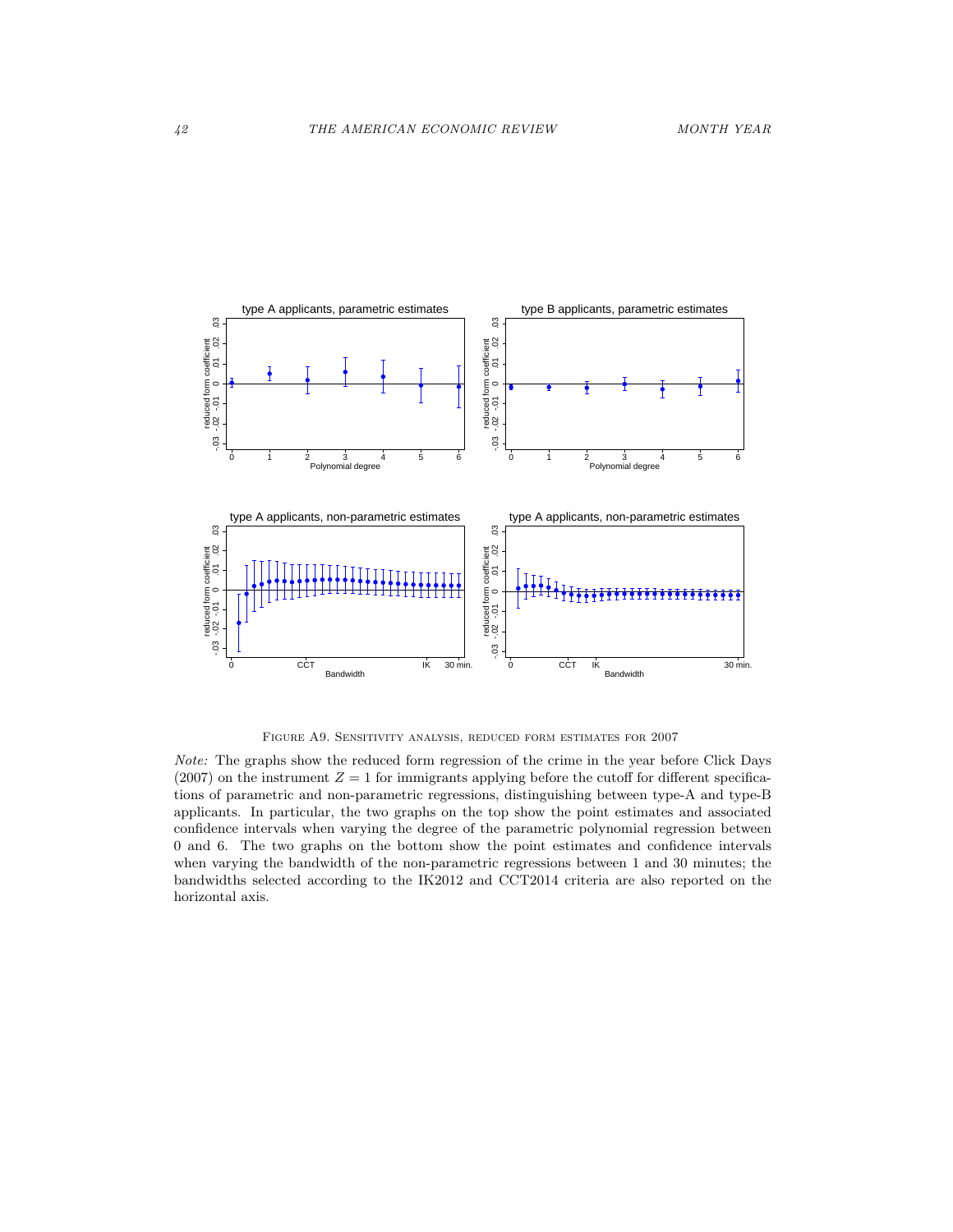

Figure A9. Sensitivity analysis, reduced form estimates for 2007

Note: The graphs show the reduced form regression of the crime in the year before Click Days (2007) on the instrument  $Z = 1$  for immigrants applying before the cutoff for different specifications of parametric and non-parametric regressions, distinguishing between type-A and type-B applicants. In particular, the two graphs on the top show the point estimates and associated confidence intervals when varying the degree of the parametric polynomial regression between 0 and 6. The two graphs on the bottom show the point estimates and confidence intervals when varying the bandwidth of the non-parametric regressions between 1 and 30 minutes; the bandwidths selected according to the IK2012 and CCT2014 criteria are also reported on the horizontal axis.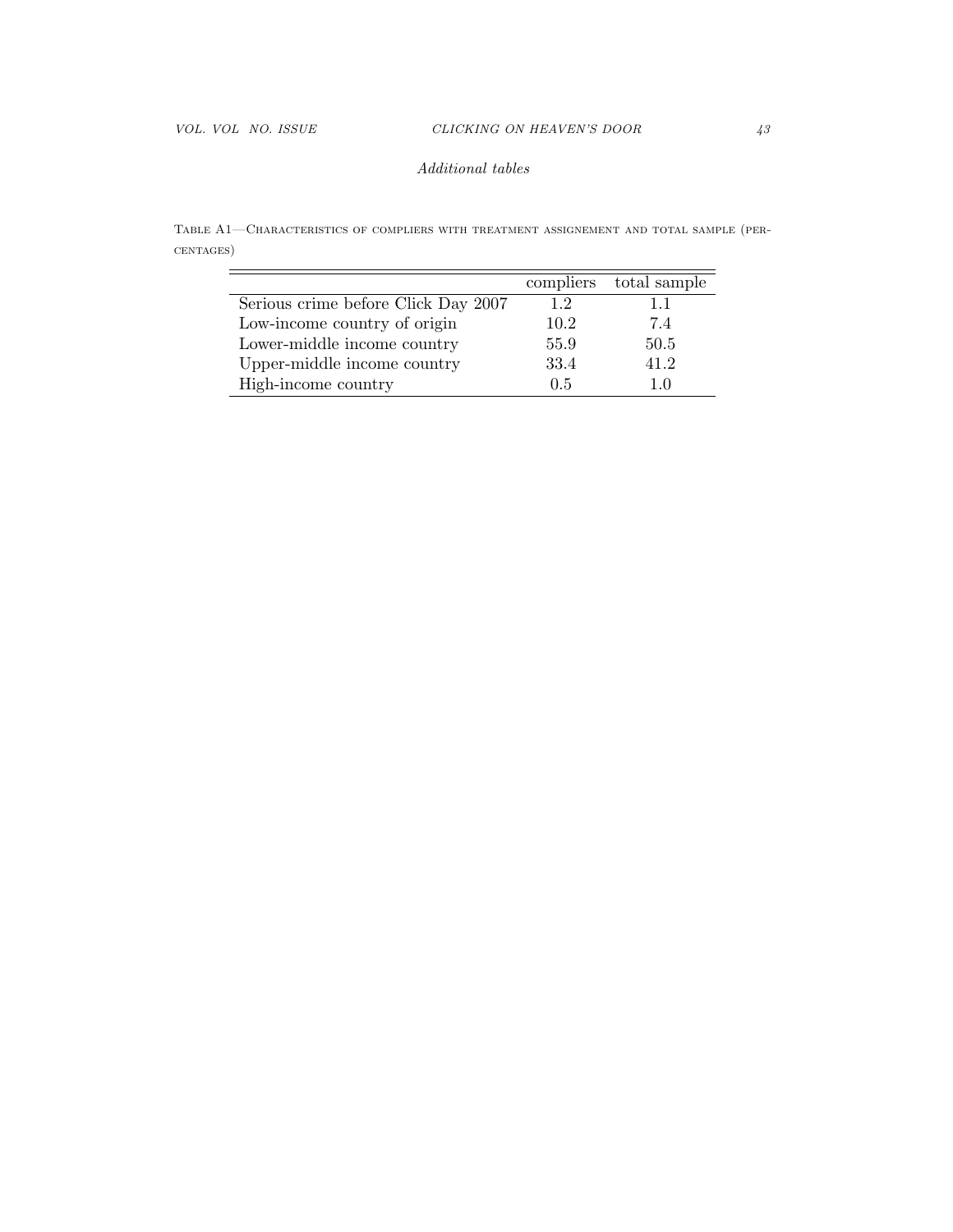## Additional tables

Table A1—Characteristics of compliers with treatment assignement and total sample (percentages)

|                                     | compliers | total sample |
|-------------------------------------|-----------|--------------|
| Serious crime before Click Day 2007 | 1.2       | 11           |
| Low-income country of origin        | 10.2      | 7.4          |
| Lower-middle income country         | 55.9      | 50.5         |
| Upper-middle income country         | 33.4      | 41.2         |
| High-income country                 | 0.5       | 10           |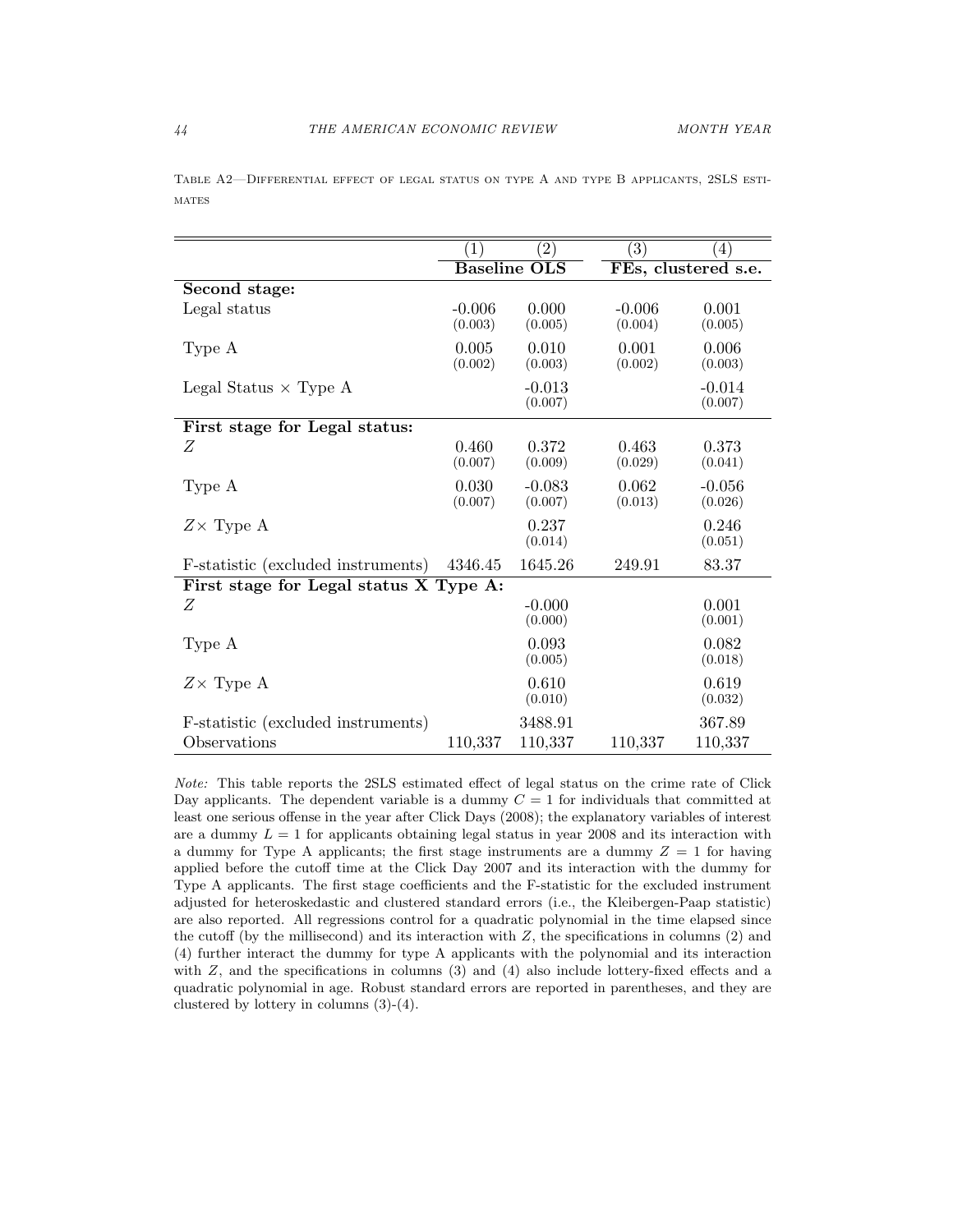|                                                    | (1)                 | $\left( 2\right)$   | $\left( 3\right)$   | $\left(4\right)$    |  |  |  |  |
|----------------------------------------------------|---------------------|---------------------|---------------------|---------------------|--|--|--|--|
|                                                    | <b>Baseline OLS</b> |                     |                     | FEs, clustered s.e. |  |  |  |  |
| Second stage:                                      |                     |                     |                     |                     |  |  |  |  |
| Legal status                                       | $-0.006$<br>(0.003) | 0.000<br>(0.005)    | $-0.006$<br>(0.004) | 0.001<br>(0.005)    |  |  |  |  |
| Type A                                             | 0.005<br>(0.002)    | 0.010<br>(0.003)    | 0.001<br>(0.002)    | 0.006<br>(0.003)    |  |  |  |  |
| Legal Status $\times$ Type A                       |                     | $-0.013$<br>(0.007) |                     | $-0.014$<br>(0.007) |  |  |  |  |
| First stage for Legal status:                      |                     |                     |                     |                     |  |  |  |  |
| Z                                                  | 0.460<br>(0.007)    | 0.372<br>(0.009)    | 0.463<br>(0.029)    | 0.373<br>(0.041)    |  |  |  |  |
| Type A                                             | 0.030<br>(0.007)    | $-0.083$<br>(0.007) | 0.062<br>(0.013)    | $-0.056$<br>(0.026) |  |  |  |  |
| $Z \times$ Type A                                  |                     | 0.237<br>(0.014)    |                     | 0.246<br>(0.051)    |  |  |  |  |
| F-statistic (excluded instruments)                 | 4346.45             | 1645.26             | 249.91              | 83.37               |  |  |  |  |
| First stage for Legal status X Type A:             |                     |                     |                     |                     |  |  |  |  |
| Z                                                  |                     | $-0.000$<br>(0.000) |                     | 0.001<br>(0.001)    |  |  |  |  |
| Type A                                             |                     | 0.093<br>(0.005)    |                     | 0.082<br>(0.018)    |  |  |  |  |
| $Z \times$ Type A                                  |                     | 0.610<br>(0.010)    |                     | 0.619<br>(0.032)    |  |  |  |  |
| F-statistic (excluded instruments)<br>Observations | 110,337             | 3488.91<br>110,337  | 110,337             | 367.89<br>110,337   |  |  |  |  |

Table A2—Differential effect of legal status on type A and type B applicants, 2SLS esti-**MATES** 

Note: This table reports the 2SLS estimated effect of legal status on the crime rate of Click Day applicants. The dependent variable is a dummy  $C = 1$  for individuals that committed at least one serious offense in the year after Click Days (2008); the explanatory variables of interest are a dummy  $L = 1$  for applicants obtaining legal status in year 2008 and its interaction with a dummy for Type A applicants; the first stage instruments are a dummy  $Z = 1$  for having applied before the cutoff time at the Click Day 2007 and its interaction with the dummy for Type A applicants. The first stage coefficients and the F-statistic for the excluded instrument adjusted for heteroskedastic and clustered standard errors (i.e., the Kleibergen-Paap statistic) are also reported. All regressions control for a quadratic polynomial in the time elapsed since the cutoff (by the millisecond) and its interaction with  $Z$ , the specifications in columns  $(2)$  and (4) further interact the dummy for type A applicants with the polynomial and its interaction with  $Z$ , and the specifications in columns  $(3)$  and  $(4)$  also include lottery-fixed effects and a quadratic polynomial in age. Robust standard errors are reported in parentheses, and they are clustered by lottery in columns (3)-(4).